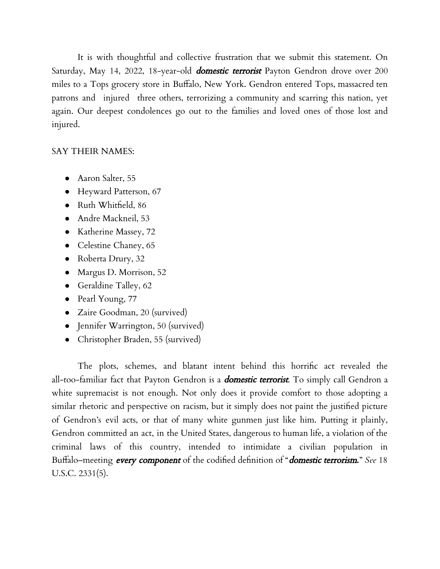It is with thoughtful and collective frustration that we submit this statement. On Saturday, May 14, 2022, 18-year-old *domestic terrorist* Payton Gendron drove over 200 miles to a Tops grocery store in Buffalo, New York. Gendron entered Tops, massacred ten patrons and injured three others, terrorizing a community and scarring this nation, yet again. Our deepest condolences go out to the families and loved ones of those lost and injured.

## SAY THEIR NAMES:

- Aaron Salter, 55
- Heyward Patterson, 67
- Ruth Whitfield, 86
- Andre Mackneil, 53
- Katherine Massey, 72
- Celestine Chaney, 65
- Roberta Drury, 32
- Margus D. Morrison, 52
- Geraldine Talley, 62
- Pearl Young, 77
- Zaire Goodman, 20 (survived)
- Jennifer Warrington, 50 (survived)
- Christopher Braden, 55 (survived)

The plots, schemes, and blatant intent behind this horrific act revealed the all-too-familiar fact that Payton Gendron is a *domestic terrorist*. To simply call Gendron a white supremacist is not enough. Not only does it provide comfort to those adopting a similar rhetoric and perspective on racism, but it simply does not paint the justified picture of Gendron's evil acts, or that of many white gunmen just like him. Putting it plainly, Gendron committed an act, in the United States, dangerous to human life, a violation of the criminal laws of this country, intended to intimidate a civilian population in Buffalo–meeting every component of the codified definition of "domestic terrorism**.**" *See* 18 U.S.C. 2331(5).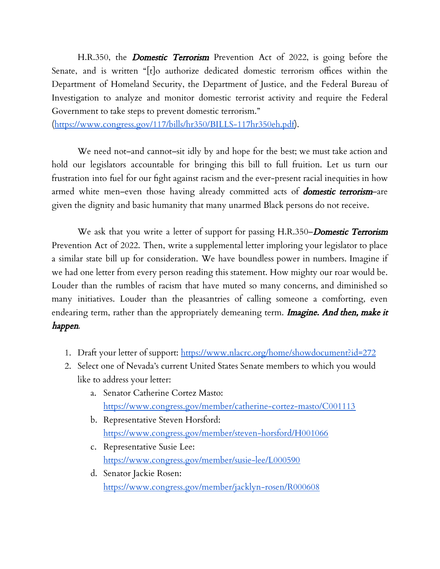H.R.350, the **Domestic Terrorism** Prevention Act of 2022, is going before the Senate, and is written "[t]o authorize dedicated domestic terrorism offices within the Department of Homeland Security, the Department of Justice, and the Federal Bureau of Investigation to analyze and monitor domestic terrorist activity and require the Federal Government to take steps to prevent domestic terrorism."

([https://www.congress.gov/117/bills/hr350/BILLS-117hr350eh.pdf\)](https://www.congress.gov/117/bills/hr350/BILLS-117hr350eh.pdf).

We need not–and cannot–sit idly by and hope for the best; we must take action and hold our legislators accountable for bringing this bill to full fruition. Let us turn our frustration into fuel for our fight against racism and the ever-present racial inequities in how armed white men–even those having already committed acts of **domestic terrorism**–are given the dignity and basic humanity that many unarmed Black persons do not receive.

We ask that you write a letter of support for passing H.R.350–Domestic Terrorism Prevention Act of 2022. Then, write a supplemental letter imploring your legislator to place a similar state bill up for consideration. We have boundless power in numbers. Imagine if we had one letter from every person reading this statement. How mighty our roar would be. Louder than the rumbles of racism that have muted so many concerns, and diminished so many initiatives. Louder than the pleasantries of calling someone a comforting, even endearing term, rather than the appropriately demeaning term. **Imagine. And then, make it** happen.

- 1. Draft your letter of support: <https://www.nlacrc.org/home/showdocument?id=272>
- 2. Select one of Nevada's current United States Senate members to which you would like to address your letter:
	- a. Senator Catherine Cortez Masto: <https://www.congress.gov/member/catherine-cortez-masto/C001113>
	- b. Representative Steven Horsford: <https://www.congress.gov/member/steven-horsford/H001066>
	- c. Representative Susie Lee: <https://www.congress.gov/member/susie-lee/L000590>
	- d. Senator Jackie Rosen: <https://www.congress.gov/member/jacklyn-rosen/R000608>